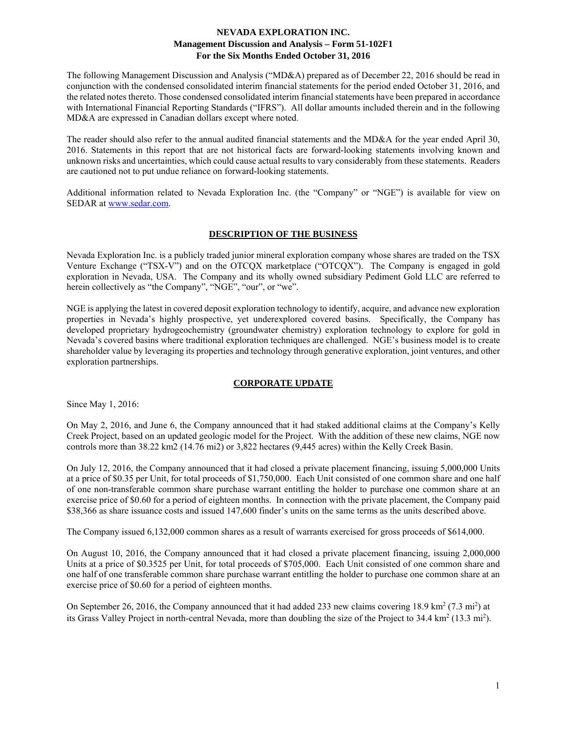The following Management Discussion and Analysis ("MD&A) prepared as of December 22, 2016 should be read in conjunction with the condensed consolidated interim financial statements for the period ended October 31, 2016, and the related notes thereto. Those condensed consolidated interim financial statements have been prepared in accordance with International Financial Reporting Standards ("IFRS"). All dollar amounts included therein and in the following MD&A are expressed in Canadian dollars except where noted.

The reader should also refer to the annual audited financial statements and the MD&A for the year ended April 30, 2016. Statements in this report that are not historical facts are forward-looking statements involving known and unknown risks and uncertainties, which could cause actual results to vary considerably from these statements. Readers are cautioned not to put undue reliance on forward-looking statements.

Additional information related to Nevada Exploration Inc. (the "Company" or "NGE") is available for view on SEDAR at www.sedar.com.

## **DESCRIPTION OF THE BUSINESS**

Nevada Exploration Inc. is a publicly traded junior mineral exploration company whose shares are traded on the TSX Venture Exchange ("TSX-V") and on the OTCQX marketplace ("OTCQX"). The Company is engaged in gold exploration in Nevada, USA. The Company and its wholly owned subsidiary Pediment Gold LLC are referred to herein collectively as "the Company", "NGE", "our", or "we".

NGE is applying the latest in covered deposit exploration technology to identify, acquire, and advance new exploration properties in Nevada's highly prospective, yet underexplored covered basins. Specifically, the Company has developed proprietary hydrogeochemistry (groundwater chemistry) exploration technology to explore for gold in Nevada's covered basins where traditional exploration techniques are challenged. NGE's business model is to create shareholder value by leveraging its properties and technology through generative exploration, joint ventures, and other exploration partnerships.

### **CORPORATE UPDATE**

Since May 1, 2016:

On May 2, 2016, and June 6, the Company announced that it had staked additional claims at the Company's Kelly Creek Project, based on an updated geologic model for the Project. With the addition of these new claims, NGE now controls more than 38.22 km2 (14.76 mi2) or 3,822 hectares (9,445 acres) within the Kelly Creek Basin.

On July 12, 2016, the Company announced that it had closed a private placement financing, issuing 5,000,000 Units at a price of \$0.35 per Unit, for total proceeds of \$1,750,000. Each Unit consisted of one common share and one half of one non-transferable common share purchase warrant entitling the holder to purchase one common share at an exercise price of \$0.60 for a period of eighteen months. In connection with the private placement, the Company paid \$38,366 as share issuance costs and issued 147,600 finder's units on the same terms as the units described above.

The Company issued 6,132,000 common shares as a result of warrants exercised for gross proceeds of \$614,000.

On August 10, 2016, the Company announced that it had closed a private placement financing, issuing 2,000,000 Units at a price of \$0.3525 per Unit, for total proceeds of \$705,000. Each Unit consisted of one common share and one half of one transferable common share purchase warrant entitling the holder to purchase one common share at an exercise price of \$0.60 for a period of eighteen months.

On September 26, 2016, the Company announced that it had added 233 new claims covering 18.9 km<sup>2</sup> (7.3 mi<sup>2</sup>) at its Grass Valley Project in north-central Nevada, more than doubling the size of the Project to  $34.4 \text{ km}^2 (13.3 \text{ mi}^2)$ .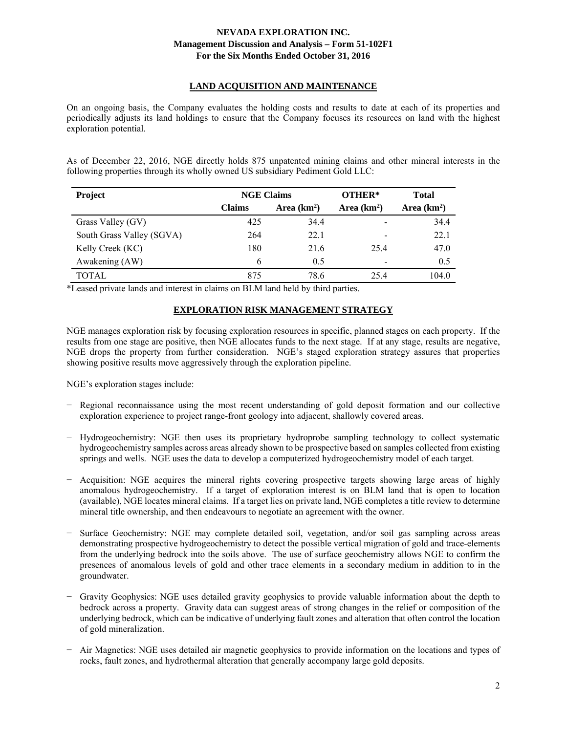# **LAND ACQUISITION AND MAINTENANCE**

On an ongoing basis, the Company evaluates the holding costs and results to date at each of its properties and periodically adjusts its land holdings to ensure that the Company focuses its resources on land with the highest exploration potential.

As of December 22, 2016, NGE directly holds 875 unpatented mining claims and other mineral interests in the following properties through its wholly owned US subsidiary Pediment Gold LLC:

| <b>Project</b>            | <b>NGE Claims</b> |                              | OTHER*                   | <b>Total</b> |
|---------------------------|-------------------|------------------------------|--------------------------|--------------|
|                           | <b>Claims</b>     | Area $(km2)$<br>Area $(km2)$ |                          | Area $(km2)$ |
| Grass Valley (GV)         | 425               | 34.4                         | -                        | 34.4         |
| South Grass Valley (SGVA) | 264               | 22.1                         | -                        | 22.1         |
| Kelly Creek (KC)          | 180               | 21.6                         | 25.4                     | 47.0         |
| Awakening (AW)            | 6                 | 0.5                          | $\overline{\phantom{a}}$ | 0.5          |
| TOTAL                     | 875               | 78.6                         | 25.4                     | 104.0        |

\*Leased private lands and interest in claims on BLM land held by third parties.

# **EXPLORATION RISK MANAGEMENT STRATEGY**

NGE manages exploration risk by focusing exploration resources in specific, planned stages on each property. If the results from one stage are positive, then NGE allocates funds to the next stage. If at any stage, results are negative, NGE drops the property from further consideration. NGE's staged exploration strategy assures that properties showing positive results move aggressively through the exploration pipeline.

NGE's exploration stages include:

- − Regional reconnaissance using the most recent understanding of gold deposit formation and our collective exploration experience to project range-front geology into adjacent, shallowly covered areas.
- − Hydrogeochemistry: NGE then uses its proprietary hydroprobe sampling technology to collect systematic hydrogeochemistry samples across areas already shown to be prospective based on samples collected from existing springs and wells. NGE uses the data to develop a computerized hydrogeochemistry model of each target.
- − Acquisition: NGE acquires the mineral rights covering prospective targets showing large areas of highly anomalous hydrogeochemistry. If a target of exploration interest is on BLM land that is open to location (available), NGE locates mineral claims. If a target lies on private land, NGE completes a title review to determine mineral title ownership, and then endeavours to negotiate an agreement with the owner.
- − Surface Geochemistry: NGE may complete detailed soil, vegetation, and/or soil gas sampling across areas demonstrating prospective hydrogeochemistry to detect the possible vertical migration of gold and trace-elements from the underlying bedrock into the soils above. The use of surface geochemistry allows NGE to confirm the presences of anomalous levels of gold and other trace elements in a secondary medium in addition to in the groundwater.
- Gravity Geophysics: NGE uses detailed gravity geophysics to provide valuable information about the depth to bedrock across a property. Gravity data can suggest areas of strong changes in the relief or composition of the underlying bedrock, which can be indicative of underlying fault zones and alteration that often control the location of gold mineralization.
- − Air Magnetics: NGE uses detailed air magnetic geophysics to provide information on the locations and types of rocks, fault zones, and hydrothermal alteration that generally accompany large gold deposits.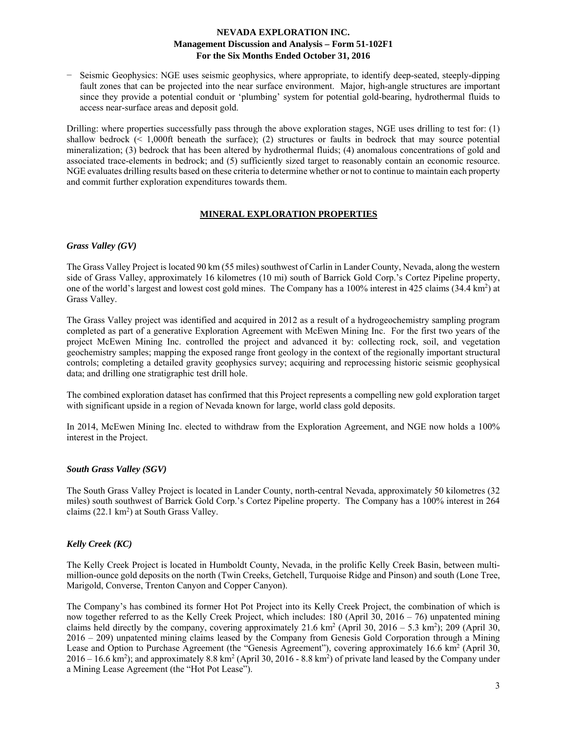− Seismic Geophysics: NGE uses seismic geophysics, where appropriate, to identify deep-seated, steeply-dipping fault zones that can be projected into the near surface environment. Major, high-angle structures are important since they provide a potential conduit or 'plumbing' system for potential gold-bearing, hydrothermal fluids to access near-surface areas and deposit gold.

Drilling: where properties successfully pass through the above exploration stages, NGE uses drilling to test for: (1) shallow bedrock (< 1,000ft beneath the surface); (2) structures or faults in bedrock that may source potential mineralization; (3) bedrock that has been altered by hydrothermal fluids; (4) anomalous concentrations of gold and associated trace-elements in bedrock; and (5) sufficiently sized target to reasonably contain an economic resource. NGE evaluates drilling results based on these criteria to determine whether or not to continue to maintain each property and commit further exploration expenditures towards them.

## **MINERAL EXPLORATION PROPERTIES**

### *Grass Valley (GV)*

The Grass Valley Project is located 90 km (55 miles) southwest of Carlin in Lander County, Nevada, along the western side of Grass Valley, approximately 16 kilometres (10 mi) south of Barrick Gold Corp.'s Cortez Pipeline property, one of the world's largest and lowest cost gold mines. The Company has a  $100\%$  interest in 425 claims  $(34.4 \text{ km}^2)$  at Grass Valley.

The Grass Valley project was identified and acquired in 2012 as a result of a hydrogeochemistry sampling program completed as part of a generative Exploration Agreement with McEwen Mining Inc. For the first two years of the project McEwen Mining Inc. controlled the project and advanced it by: collecting rock, soil, and vegetation geochemistry samples; mapping the exposed range front geology in the context of the regionally important structural controls; completing a detailed gravity geophysics survey; acquiring and reprocessing historic seismic geophysical data; and drilling one stratigraphic test drill hole.

The combined exploration dataset has confirmed that this Project represents a compelling new gold exploration target with significant upside in a region of Nevada known for large, world class gold deposits.

In 2014, McEwen Mining Inc. elected to withdraw from the Exploration Agreement, and NGE now holds a 100% interest in the Project.

### *South Grass Valley (SGV)*

The South Grass Valley Project is located in Lander County, north-central Nevada, approximately 50 kilometres (32 miles) south southwest of Barrick Gold Corp.'s Cortez Pipeline property. The Company has a 100% interest in 264 claims  $(22.1 \text{ km}^2)$  at South Grass Valley.

# *Kelly Creek (KC)*

The Kelly Creek Project is located in Humboldt County, Nevada, in the prolific Kelly Creek Basin, between multimillion-ounce gold deposits on the north (Twin Creeks, Getchell, Turquoise Ridge and Pinson) and south (Lone Tree, Marigold, Converse, Trenton Canyon and Copper Canyon).

The Company's has combined its former Hot Pot Project into its Kelly Creek Project, the combination of which is now together referred to as the Kelly Creek Project, which includes:  $180$  (April 30,  $2016 - 76$ ) unpatented mining claims held directly by the company, covering approximately  $21.6 \text{ km}^2$  (April 30,  $2016 - 5.3 \text{ km}^2$ ); 209 (April 30, 2016 – 209) unpatented mining claims leased by the Company from Genesis Gold Corporation through a Mining Lease and Option to Purchase Agreement (the "Genesis Agreement"), covering approximately 16.6 km<sup>2</sup> (April 30,  $2016 - 16.6$  km<sup>2</sup>); and approximately 8.8 km<sup>2</sup> (April 30, 2016 - 8.8 km<sup>2</sup>) of private land leased by the Company under a Mining Lease Agreement (the "Hot Pot Lease").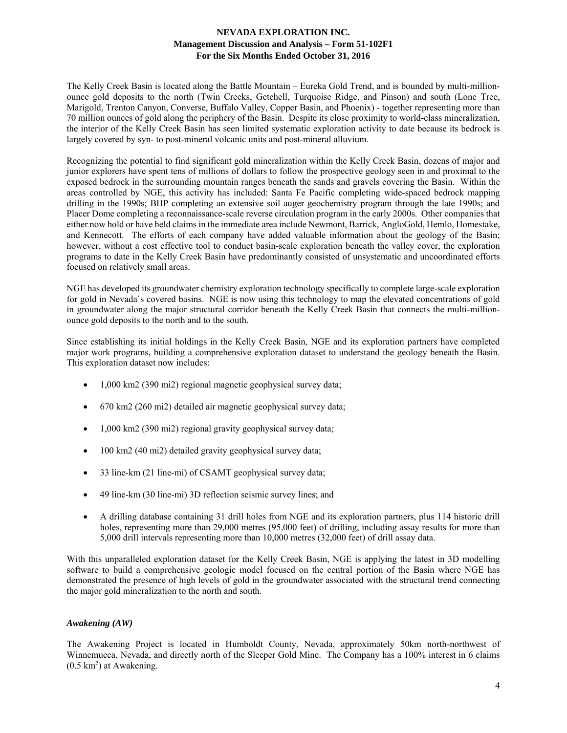The Kelly Creek Basin is located along the Battle Mountain – Eureka Gold Trend, and is bounded by multi-millionounce gold deposits to the north (Twin Creeks, Getchell, Turquoise Ridge, and Pinson) and south (Lone Tree, Marigold, Trenton Canyon, Converse, Buffalo Valley, Copper Basin, and Phoenix) - together representing more than 70 million ounces of gold along the periphery of the Basin. Despite its close proximity to world-class mineralization, the interior of the Kelly Creek Basin has seen limited systematic exploration activity to date because its bedrock is largely covered by syn- to post-mineral volcanic units and post-mineral alluvium.

Recognizing the potential to find significant gold mineralization within the Kelly Creek Basin, dozens of major and junior explorers have spent tens of millions of dollars to follow the prospective geology seen in and proximal to the exposed bedrock in the surrounding mountain ranges beneath the sands and gravels covering the Basin. Within the areas controlled by NGE, this activity has included: Santa Fe Pacific completing wide-spaced bedrock mapping drilling in the 1990s; BHP completing an extensive soil auger geochemistry program through the late 1990s; and Placer Dome completing a reconnaissance-scale reverse circulation program in the early 2000s. Other companies that either now hold or have held claims in the immediate area include Newmont, Barrick, AngloGold, Hemlo, Homestake, and Kennecott. The efforts of each company have added valuable information about the geology of the Basin; however, without a cost effective tool to conduct basin-scale exploration beneath the valley cover, the exploration programs to date in the Kelly Creek Basin have predominantly consisted of unsystematic and uncoordinated efforts focused on relatively small areas.

NGE has developed its groundwater chemistry exploration technology specifically to complete large-scale exploration for gold in Nevada`s covered basins. NGE is now using this technology to map the elevated concentrations of gold in groundwater along the major structural corridor beneath the Kelly Creek Basin that connects the multi-millionounce gold deposits to the north and to the south.

Since establishing its initial holdings in the Kelly Creek Basin, NGE and its exploration partners have completed major work programs, building a comprehensive exploration dataset to understand the geology beneath the Basin. This exploration dataset now includes:

- 1,000 km2 (390 mi2) regional magnetic geophysical survey data;
- 670 km2 (260 mi2) detailed air magnetic geophysical survey data;
- $\bullet$  1,000 km2 (390 mi2) regional gravity geophysical survey data;
- 100 km2 (40 mi2) detailed gravity geophysical survey data;
- 33 line-km (21 line-mi) of CSAMT geophysical survey data;
- 49 line-km (30 line-mi) 3D reflection seismic survey lines; and
- A drilling database containing 31 drill holes from NGE and its exploration partners, plus 114 historic drill holes, representing more than 29,000 metres (95,000 feet) of drilling, including assay results for more than 5,000 drill intervals representing more than 10,000 metres (32,000 feet) of drill assay data.

With this unparalleled exploration dataset for the Kelly Creek Basin, NGE is applying the latest in 3D modelling software to build a comprehensive geologic model focused on the central portion of the Basin where NGE has demonstrated the presence of high levels of gold in the groundwater associated with the structural trend connecting the major gold mineralization to the north and south.

### *Awakening (AW)*

The Awakening Project is located in Humboldt County, Nevada, approximately 50km north-northwest of Winnemucca, Nevada, and directly north of the Sleeper Gold Mine. The Company has a 100% interest in 6 claims  $(0.5 \text{ km}^2)$  at Awakening.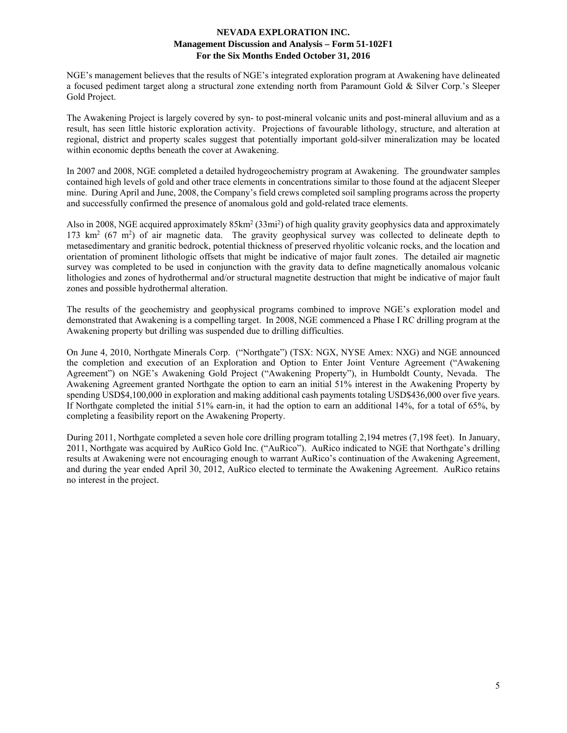NGE's management believes that the results of NGE's integrated exploration program at Awakening have delineated a focused pediment target along a structural zone extending north from Paramount Gold & Silver Corp.'s Sleeper Gold Project.

The Awakening Project is largely covered by syn- to post-mineral volcanic units and post-mineral alluvium and as a result, has seen little historic exploration activity. Projections of favourable lithology, structure, and alteration at regional, district and property scales suggest that potentially important gold-silver mineralization may be located within economic depths beneath the cover at Awakening.

In 2007 and 2008, NGE completed a detailed hydrogeochemistry program at Awakening. The groundwater samples contained high levels of gold and other trace elements in concentrations similar to those found at the adjacent Sleeper mine. During April and June, 2008, the Company's field crews completed soil sampling programs across the property and successfully confirmed the presence of anomalous gold and gold-related trace elements.

Also in 2008, NGE acquired approximately 85km<sup>2</sup> (33mi<sup>2</sup>) of high quality gravity geophysics data and approximately 173 km<sup>2</sup> (67 m<sup>2</sup>) of air magnetic data. The gravity geophysical survey was collected to delineate depth to metasedimentary and granitic bedrock, potential thickness of preserved rhyolitic volcanic rocks, and the location and orientation of prominent lithologic offsets that might be indicative of major fault zones. The detailed air magnetic survey was completed to be used in conjunction with the gravity data to define magnetically anomalous volcanic lithologies and zones of hydrothermal and/or structural magnetite destruction that might be indicative of major fault zones and possible hydrothermal alteration.

The results of the geochemistry and geophysical programs combined to improve NGE's exploration model and demonstrated that Awakening is a compelling target. In 2008, NGE commenced a Phase I RC drilling program at the Awakening property but drilling was suspended due to drilling difficulties.

On June 4, 2010, Northgate Minerals Corp. ("Northgate") (TSX: NGX, NYSE Amex: NXG) and NGE announced the completion and execution of an Exploration and Option to Enter Joint Venture Agreement ("Awakening Agreement") on NGE's Awakening Gold Project ("Awakening Property"), in Humboldt County, Nevada. The Awakening Agreement granted Northgate the option to earn an initial 51% interest in the Awakening Property by spending USD\$4,100,000 in exploration and making additional cash payments totaling USD\$436,000 over five years. If Northgate completed the initial 51% earn-in, it had the option to earn an additional 14%, for a total of 65%, by completing a feasibility report on the Awakening Property.

During 2011, Northgate completed a seven hole core drilling program totalling 2,194 metres (7,198 feet). In January, 2011, Northgate was acquired by AuRico Gold Inc. ("AuRico"). AuRico indicated to NGE that Northgate's drilling results at Awakening were not encouraging enough to warrant AuRico's continuation of the Awakening Agreement, and during the year ended April 30, 2012, AuRico elected to terminate the Awakening Agreement. AuRico retains no interest in the project.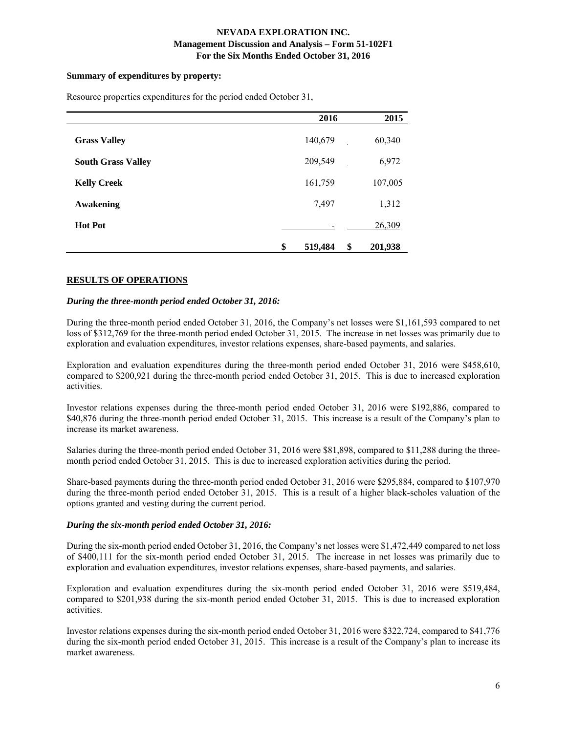### **Summary of expenditures by property:**

|                           | 2016          | 2015          |
|---------------------------|---------------|---------------|
| <b>Grass Valley</b>       | 140,679       | 60,340        |
| <b>South Grass Valley</b> | 209,549       | 6,972         |
| <b>Kelly Creek</b>        | 161,759       | 107,005       |
| <b>Awakening</b>          | 7,497         | 1,312         |
| <b>Hot Pot</b>            |               | 26,309        |
|                           | \$<br>519,484 | \$<br>201,938 |

Resource properties expenditures for the period ended October 31,

## **RESULTS OF OPERATIONS**

#### *During the three-month period ended October 31, 2016:*

During the three-month period ended October 31, 2016, the Company's net losses were \$1,161,593 compared to net loss of \$312,769 for the three-month period ended October 31, 2015. The increase in net losses was primarily due to exploration and evaluation expenditures, investor relations expenses, share-based payments, and salaries.

Exploration and evaluation expenditures during the three-month period ended October 31, 2016 were \$458,610, compared to \$200,921 during the three-month period ended October 31, 2015. This is due to increased exploration activities.

Investor relations expenses during the three-month period ended October 31, 2016 were \$192,886, compared to \$40,876 during the three-month period ended October 31, 2015. This increase is a result of the Company's plan to increase its market awareness.

Salaries during the three-month period ended October 31, 2016 were \$81,898, compared to \$11,288 during the threemonth period ended October 31, 2015. This is due to increased exploration activities during the period.

Share-based payments during the three-month period ended October 31, 2016 were \$295,884, compared to \$107,970 during the three-month period ended October 31, 2015. This is a result of a higher black-scholes valuation of the options granted and vesting during the current period.

#### *During the six-month period ended October 31, 2016:*

During the six-month period ended October 31, 2016, the Company's net losses were \$1,472,449 compared to net loss of \$400,111 for the six-month period ended October 31, 2015. The increase in net losses was primarily due to exploration and evaluation expenditures, investor relations expenses, share-based payments, and salaries.

Exploration and evaluation expenditures during the six-month period ended October 31, 2016 were \$519,484, compared to \$201,938 during the six-month period ended October 31, 2015. This is due to increased exploration activities.

Investor relations expenses during the six-month period ended October 31, 2016 were \$322,724, compared to \$41,776 during the six-month period ended October 31, 2015. This increase is a result of the Company's plan to increase its market awareness.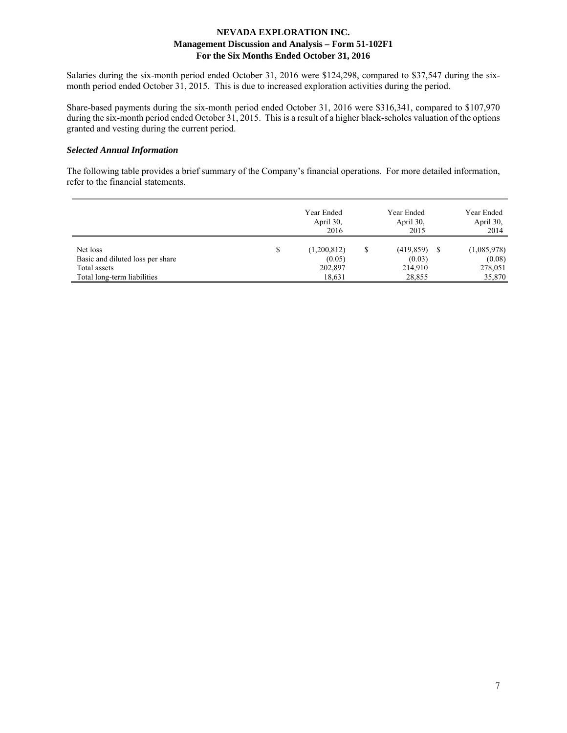Salaries during the six-month period ended October 31, 2016 were \$124,298, compared to \$37,547 during the sixmonth period ended October 31, 2015. This is due to increased exploration activities during the period.

Share-based payments during the six-month period ended October 31, 2016 were \$316,341, compared to \$107,970 during the six-month period ended October 31, 2015. This is a result of a higher black-scholes valuation of the options granted and vesting during the current period.

### *Selected Annual Information*

The following table provides a brief summary of the Company's financial operations. For more detailed information, refer to the financial statements.

|                                  |   | Year Ended<br>April 30,<br>2016 | Year Ended<br>April 30,<br>2015 | Year Ended<br>April 30,<br>2014 |
|----------------------------------|---|---------------------------------|---------------------------------|---------------------------------|
| Net loss                         | S | (1,200,812)                     | $(419,859)$ \$                  | (1,085,978)                     |
| Basic and diluted loss per share |   | (0.05)                          | (0.03)                          | (0.08)                          |
| Total assets                     |   | 202,897                         | 214,910                         | 278,051                         |
| Total long-term liabilities      |   | 18,631                          | 28,855                          | 35,870                          |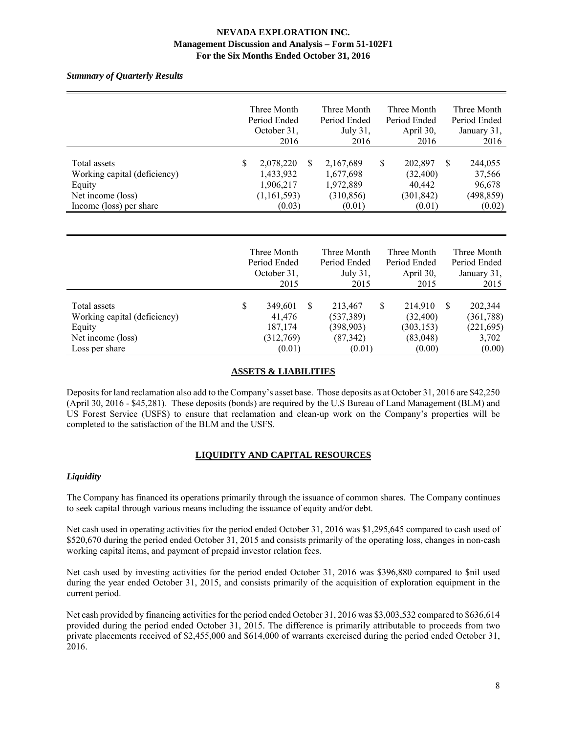*Summary of Quarterly Results* 

|                                                                                                        | Three Month<br>Period Ended<br>October 31,<br>2016                 |    | Three Month<br>Period Ended<br>July 31,<br>2016             |   | Three Month<br>Period Ended<br>April 30,<br>2016       |          | Three Month<br>Period Ended<br>January 31,<br>2016  |
|--------------------------------------------------------------------------------------------------------|--------------------------------------------------------------------|----|-------------------------------------------------------------|---|--------------------------------------------------------|----------|-----------------------------------------------------|
| Total assets<br>Working capital (deficiency)<br>Equity<br>Net income (loss)<br>Income (loss) per share | \$<br>2,078,220<br>1,433,932<br>1,906,217<br>(1,161,593)<br>(0.03) | -S | 2,167,689<br>1,677,698<br>1,972,889<br>(310, 856)<br>(0.01) | S | 202,897<br>(32, 400)<br>40,442<br>(301, 842)<br>(0.01) | <b>S</b> | 244,055<br>37,566<br>96,678<br>(498, 859)<br>(0.02) |

### **ASSETS & LIABILITIES**

Deposits for land reclamation also add to the Company's asset base. Those deposits as at October 31, 2016 are \$42,250 (April 30, 2016 - \$45,281). These deposits (bonds) are required by the U.S Bureau of Land Management (BLM) and US Forest Service (USFS) to ensure that reclamation and clean-up work on the Company's properties will be completed to the satisfaction of the BLM and the USFS.

# **LIQUIDITY AND CAPITAL RESOURCES**

### *Liquidity*

The Company has financed its operations primarily through the issuance of common shares. The Company continues to seek capital through various means including the issuance of equity and/or debt.

Net cash used in operating activities for the period ended October 31, 2016 was \$1,295,645 compared to cash used of \$520,670 during the period ended October 31, 2015 and consists primarily of the operating loss, changes in non-cash working capital items, and payment of prepaid investor relation fees.

Net cash used by investing activities for the period ended October 31, 2016 was \$396,880 compared to \$nil used during the year ended October 31, 2015, and consists primarily of the acquisition of exploration equipment in the current period.

Net cash provided by financing activities for the period ended October 31, 2016 was \$3,003,532 compared to \$636,614 provided during the period ended October 31, 2015. The difference is primarily attributable to proceeds from two private placements received of \$2,455,000 and \$614,000 of warrants exercised during the period ended October 31, 2016.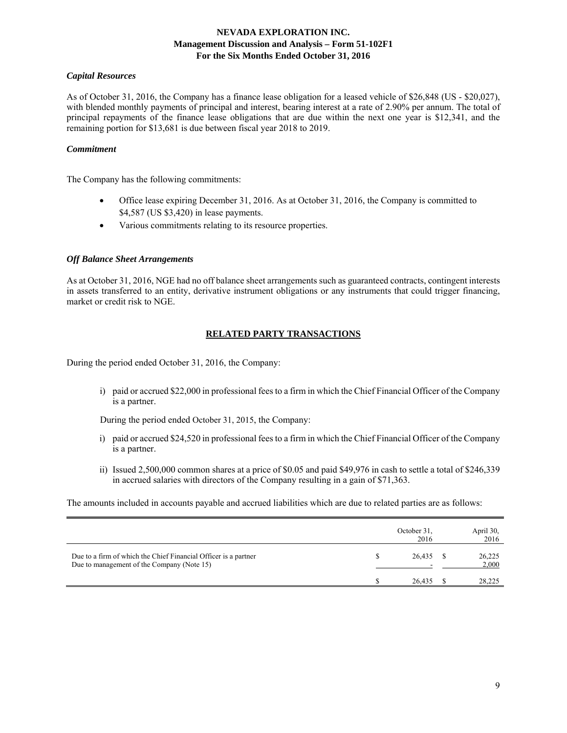#### *Capital Resources*

As of October 31, 2016, the Company has a finance lease obligation for a leased vehicle of \$26,848 (US - \$20,027), with blended monthly payments of principal and interest, bearing interest at a rate of 2.90% per annum. The total of principal repayments of the finance lease obligations that are due within the next one year is \$12,341, and the remaining portion for \$13,681 is due between fiscal year 2018 to 2019.

#### *Commitment*

The Company has the following commitments:

- Office lease expiring December 31, 2016. As at October 31, 2016, the Company is committed to \$4,587 (US \$3,420) in lease payments.
- Various commitments relating to its resource properties.

#### *Off Balance Sheet Arrangements*

As at October 31, 2016, NGE had no off balance sheet arrangements such as guaranteed contracts, contingent interests in assets transferred to an entity, derivative instrument obligations or any instruments that could trigger financing, market or credit risk to NGE.

# **RELATED PARTY TRANSACTIONS**

During the period ended October 31, 2016, the Company:

i) paid or accrued \$22,000 in professional fees to a firm in which the Chief Financial Officer of the Company is a partner.

During the period ended October 31, 2015, the Company:

- i) paid or accrued \$24,520 in professional fees to a firm in which the Chief Financial Officer of the Company is a partner.
- ii) Issued 2,500,000 common shares at a price of \$0.05 and paid \$49,976 in cash to settle a total of \$246,339 in accrued salaries with directors of the Company resulting in a gain of \$71,363.

The amounts included in accounts payable and accrued liabilities which are due to related parties are as follows:

|                                                                                                               | October 31.<br>2016 | April 30,<br>2016 |
|---------------------------------------------------------------------------------------------------------------|---------------------|-------------------|
| Due to a firm of which the Chief Financial Officer is a partner<br>Due to management of the Company (Note 15) | 26,435              | 26,225<br>2,000   |
|                                                                                                               | 26.435              | 28,225            |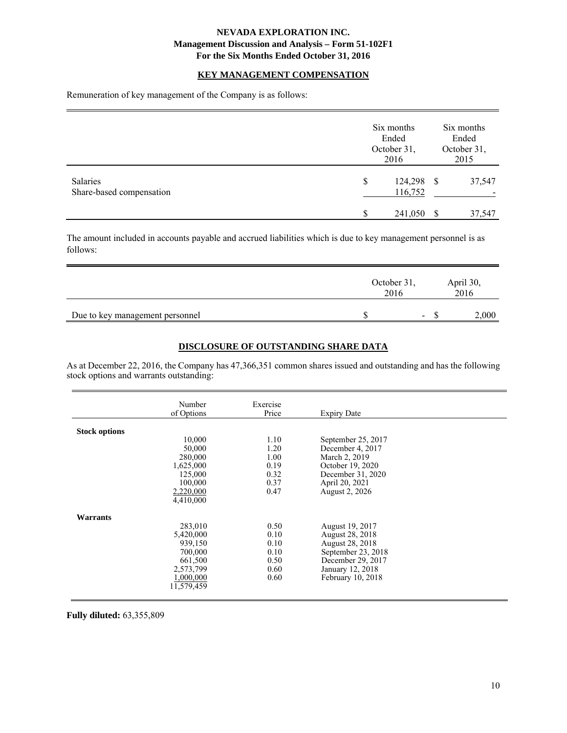#### **KEY MANAGEMENT COMPENSATION**

Remuneration of key management of the Company is as follows:

|                                      |         | Six months<br>Ended<br>October 31,<br>2016 | Six months<br>Ended<br>October 31,<br>2015<br>124,298<br>37,547<br>-S<br>116,752 |        |  |  |  |
|--------------------------------------|---------|--------------------------------------------|----------------------------------------------------------------------------------|--------|--|--|--|
| Salaries<br>Share-based compensation | \$<br>S | 241,050                                    | -S                                                                               | 37,547 |  |  |  |

The amount included in accounts payable and accrued liabilities which is due to key management personnel is as follows:

|                                 | October 31,<br>2016 |                |       |
|---------------------------------|---------------------|----------------|-------|
| Due to key management personnel |                     | $\blacksquare$ | 2,000 |

# **DISCLOSURE OF OUTSTANDING SHARE DATA**

As at December 22, 2016, the Company has 47,366,351 common shares issued and outstanding and has the following stock options and warrants outstanding:

|                      | Number     | Exercise |                    |  |
|----------------------|------------|----------|--------------------|--|
|                      | of Options | Price    | <b>Expiry Date</b> |  |
|                      |            |          |                    |  |
| <b>Stock options</b> |            |          |                    |  |
|                      | 10,000     | 1.10     | September 25, 2017 |  |
|                      | 50,000     | 1.20     | December 4, 2017   |  |
|                      | 280,000    | 1.00     | March 2, 2019      |  |
|                      | 1,625,000  | 0.19     | October 19, 2020   |  |
|                      | 125,000    | 0.32     | December 31, 2020  |  |
|                      | 100,000    | 0.37     | April 20, 2021     |  |
|                      | 2,220,000  | 0.47     | August 2, 2026     |  |
|                      | 4,410,000  |          |                    |  |
| Warrants             |            |          |                    |  |
|                      | 283,010    | 0.50     | August 19, 2017    |  |
|                      | 5,420,000  | 0.10     | August 28, 2018    |  |
|                      | 939,150    | 0.10     | August 28, 2018    |  |
|                      | 700,000    | 0.10     | September 23, 2018 |  |
|                      | 661,500    | 0.50     | December 29, 2017  |  |
|                      | 2,573,799  | 0.60     | January 12, 2018   |  |
|                      | 1.000.000  | 0.60     | February 10, 2018  |  |
|                      | 11,579,459 |          |                    |  |
|                      |            |          |                    |  |

**Fully diluted:** 63,355,809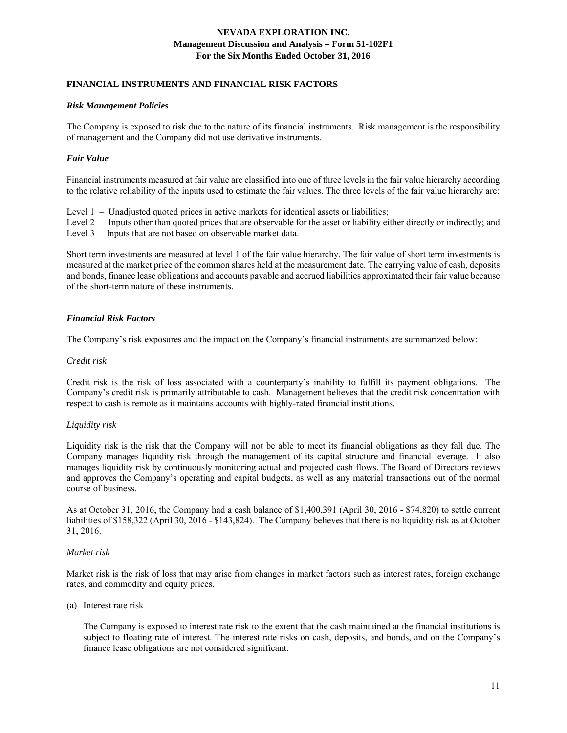### **FINANCIAL INSTRUMENTS AND FINANCIAL RISK FACTORS**

#### *Risk Management Policies*

The Company is exposed to risk due to the nature of its financial instruments. Risk management is the responsibility of management and the Company did not use derivative instruments.

### *Fair Value*

Financial instruments measured at fair value are classified into one of three levels in the fair value hierarchy according to the relative reliability of the inputs used to estimate the fair values. The three levels of the fair value hierarchy are:

Level 1 – Unadjusted quoted prices in active markets for identical assets or liabilities;

Level 2 – Inputs other than quoted prices that are observable for the asset or liability either directly or indirectly; and Level 3 – Inputs that are not based on observable market data.

Short term investments are measured at level 1 of the fair value hierarchy. The fair value of short term investments is measured at the market price of the common shares held at the measurement date. The carrying value of cash, deposits and bonds, finance lease obligations and accounts payable and accrued liabilities approximated their fair value because of the short-term nature of these instruments.

### *Financial Risk Factors*

The Company's risk exposures and the impact on the Company's financial instruments are summarized below:

#### *Credit risk*

Credit risk is the risk of loss associated with a counterparty's inability to fulfill its payment obligations. The Company's credit risk is primarily attributable to cash. Management believes that the credit risk concentration with respect to cash is remote as it maintains accounts with highly-rated financial institutions.

### *Liquidity risk*

Liquidity risk is the risk that the Company will not be able to meet its financial obligations as they fall due. The Company manages liquidity risk through the management of its capital structure and financial leverage. It also manages liquidity risk by continuously monitoring actual and projected cash flows. The Board of Directors reviews and approves the Company's operating and capital budgets, as well as any material transactions out of the normal course of business.

As at October 31, 2016, the Company had a cash balance of \$1,400,391 (April 30, 2016 - \$74,820) to settle current liabilities of \$158,322 (April 30, 2016 - \$143,824). The Company believes that there is no liquidity risk as at October 31, 2016.

### *Market risk*

Market risk is the risk of loss that may arise from changes in market factors such as interest rates, foreign exchange rates, and commodity and equity prices.

#### (a) Interest rate risk

 The Company is exposed to interest rate risk to the extent that the cash maintained at the financial institutions is subject to floating rate of interest. The interest rate risks on cash, deposits, and bonds, and on the Company's finance lease obligations are not considered significant.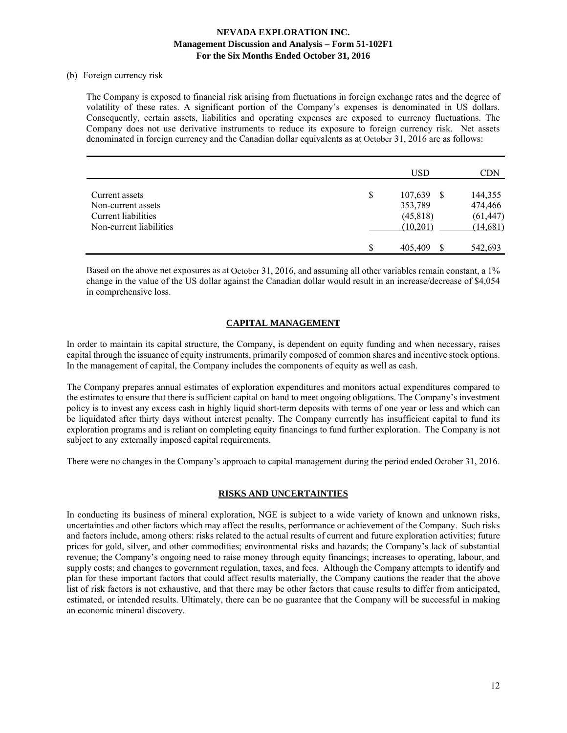#### (b) Foreign currency risk

The Company is exposed to financial risk arising from fluctuations in foreign exchange rates and the degree of volatility of these rates. A significant portion of the Company's expenses is denominated in US dollars. Consequently, certain assets, liabilities and operating expenses are exposed to currency fluctuations. The Company does not use derivative instruments to reduce its exposure to foreign currency risk. Net assets denominated in foreign currency and the Canadian dollar equivalents as at October 31, 2016 are as follows:

|                                                                                        | <b>USD</b>                                              | <b>CDN</b>                                  |
|----------------------------------------------------------------------------------------|---------------------------------------------------------|---------------------------------------------|
| Current assets<br>Non-current assets<br>Current liabilities<br>Non-current liabilities | \$<br>107,639<br>-S<br>353,789<br>(45, 818)<br>(10,201) | 144,355<br>474,466<br>(61, 447)<br>(14,681) |
|                                                                                        | \$<br>405,409<br>S                                      | 542,693                                     |

Based on the above net exposures as at October 31, 2016, and assuming all other variables remain constant, a 1% change in the value of the US dollar against the Canadian dollar would result in an increase/decrease of \$4,054 in comprehensive loss.

# **CAPITAL MANAGEMENT**

In order to maintain its capital structure, the Company, is dependent on equity funding and when necessary, raises capital through the issuance of equity instruments, primarily composed of common shares and incentive stock options. In the management of capital, the Company includes the components of equity as well as cash.

The Company prepares annual estimates of exploration expenditures and monitors actual expenditures compared to the estimates to ensure that there is sufficient capital on hand to meet ongoing obligations. The Company's investment policy is to invest any excess cash in highly liquid short-term deposits with terms of one year or less and which can be liquidated after thirty days without interest penalty. The Company currently has insufficient capital to fund its exploration programs and is reliant on completing equity financings to fund further exploration. The Company is not subject to any externally imposed capital requirements.

There were no changes in the Company's approach to capital management during the period ended October 31, 2016.

### **RISKS AND UNCERTAINTIES**

In conducting its business of mineral exploration, NGE is subject to a wide variety of known and unknown risks, uncertainties and other factors which may affect the results, performance or achievement of the Company. Such risks and factors include, among others: risks related to the actual results of current and future exploration activities; future prices for gold, silver, and other commodities; environmental risks and hazards; the Company's lack of substantial revenue; the Company's ongoing need to raise money through equity financings; increases to operating, labour, and supply costs; and changes to government regulation, taxes, and fees. Although the Company attempts to identify and plan for these important factors that could affect results materially, the Company cautions the reader that the above list of risk factors is not exhaustive, and that there may be other factors that cause results to differ from anticipated, estimated, or intended results. Ultimately, there can be no guarantee that the Company will be successful in making an economic mineral discovery.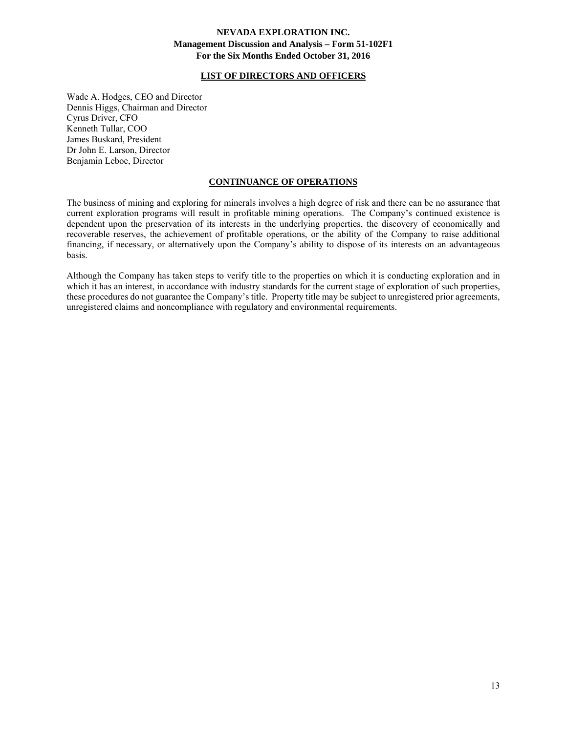#### **LIST OF DIRECTORS AND OFFICERS**

Wade A. Hodges, CEO and Director Dennis Higgs, Chairman and Director Cyrus Driver, CFO Kenneth Tullar, COO James Buskard, President Dr John E. Larson, Director Benjamin Leboe, Director

#### **CONTINUANCE OF OPERATIONS**

The business of mining and exploring for minerals involves a high degree of risk and there can be no assurance that current exploration programs will result in profitable mining operations. The Company's continued existence is dependent upon the preservation of its interests in the underlying properties, the discovery of economically and recoverable reserves, the achievement of profitable operations, or the ability of the Company to raise additional financing, if necessary, or alternatively upon the Company's ability to dispose of its interests on an advantageous basis.

Although the Company has taken steps to verify title to the properties on which it is conducting exploration and in which it has an interest, in accordance with industry standards for the current stage of exploration of such properties, these procedures do not guarantee the Company's title. Property title may be subject to unregistered prior agreements, unregistered claims and noncompliance with regulatory and environmental requirements.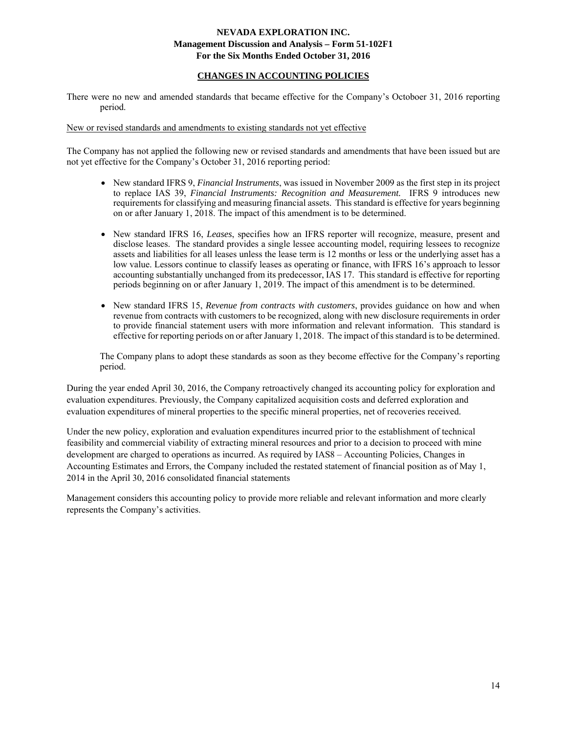## **CHANGES IN ACCOUNTING POLICIES**

There were no new and amended standards that became effective for the Company's Octoboer 31, 2016 reporting period.

#### New or revised standards and amendments to existing standards not yet effective

The Company has not applied the following new or revised standards and amendments that have been issued but are not yet effective for the Company's October 31, 2016 reporting period:

- New standard IFRS 9, *Financial Instruments*, was issued in November 2009 as the first step in its project to replace IAS 39, *Financial Instruments: Recognition and Measurement.* IFRS 9 introduces new requirements for classifying and measuring financial assets. This standard is effective for years beginning on or after January 1, 2018. The impact of this amendment is to be determined.
- New standard IFRS 16, *Leases*, specifies how an IFRS reporter will recognize, measure, present and disclose leases. The standard provides a single lessee accounting model, requiring lessees to recognize assets and liabilities for all leases unless the lease term is 12 months or less or the underlying asset has a low value. Lessors continue to classify leases as operating or finance, with IFRS 16's approach to lessor accounting substantially unchanged from its predecessor, IAS 17. This standard is effective for reporting periods beginning on or after January 1, 2019. The impact of this amendment is to be determined.
- New standard IFRS 15, *Revenue from contracts with customers*, provides guidance on how and when revenue from contracts with customers to be recognized, along with new disclosure requirements in order to provide financial statement users with more information and relevant information. This standard is effective for reporting periods on or after January 1, 2018. The impact of this standard is to be determined.

The Company plans to adopt these standards as soon as they become effective for the Company's reporting period.

During the year ended April 30, 2016, the Company retroactively changed its accounting policy for exploration and evaluation expenditures. Previously, the Company capitalized acquisition costs and deferred exploration and evaluation expenditures of mineral properties to the specific mineral properties, net of recoveries received.

Under the new policy, exploration and evaluation expenditures incurred prior to the establishment of technical feasibility and commercial viability of extracting mineral resources and prior to a decision to proceed with mine development are charged to operations as incurred. As required by IAS8 – Accounting Policies, Changes in Accounting Estimates and Errors, the Company included the restated statement of financial position as of May 1, 2014 in the April 30, 2016 consolidated financial statements

Management considers this accounting policy to provide more reliable and relevant information and more clearly represents the Company's activities.